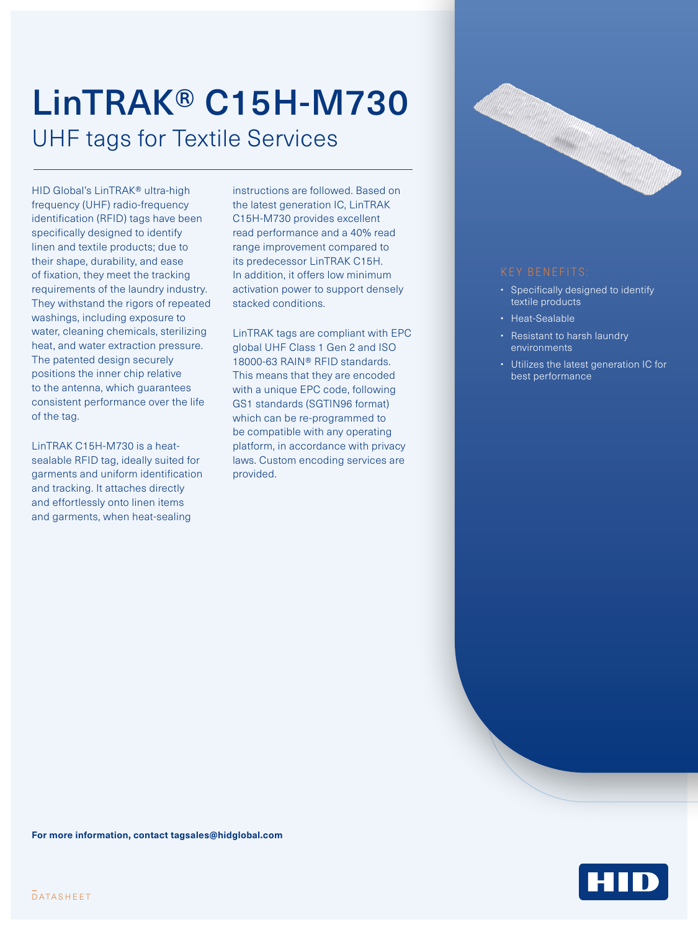## LinTRAK® C15H-M730 UHF tags for Textile Services

HID Global's LinTRAK® ultra-high frequency (UHF) radio-frequency identification (RFID) tags have been specifically designed to identify linen and textile products; due to their shape, durability, and ease of fixation, they meet the tracking requirements of the laundry industry. They withstand the rigors of repeated washings, including exposure to water, cleaning chemicals, sterilizing heat, and water extraction pressure. The patented design securely positions the inner chip relative to the antenna, which guarantees consistent performance over the life of the tag.

LinTRAK C15H-M730 is a heatsealable RFID tag, ideally suited for garments and uniform identification and tracking. It attaches directly and effortlessly onto linen items and garments, when heat-sealing

instructions are followed. Based on the latest generation IC, LinTRAK C15H-M730 provides excellent read performance and a 40% read range improvement compared to its predecessor LinTRAK C15H. In addition, it offers low minimum activation power to support densely stacked conditions.

LinTRAK tags are compliant with EPC global UHF Class 1 Gen 2 and ISO 18000-63 RAIN® RFID standards. This means that they are encoded with a unique EPC code, following GS1 standards (SGTIN96 format) which can be re-programmed to be compatible with any operating platform, in accordance with privacy laws. Custom encoding services are provided.



- Specifically designed to identify textile products
- Heat-Sealable
- Resistant to harsh laundry environments
- Utilizes the latest generation IC for best performance

**For more information, contact [tagsales@hidglobal.com](mailto:tagsales@hidglobal.com)**